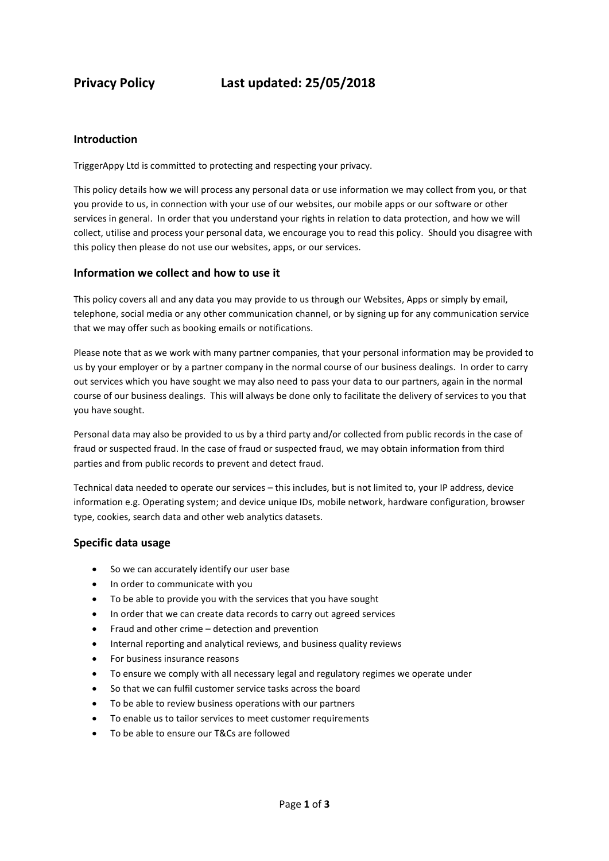## **Introduction**

TriggerAppy Ltd is committed to protecting and respecting your privacy.

This policy details how we will process any personal data or use information we may collect from you, or that you provide to us, in connection with your use of our websites, our mobile apps or our software or other services in general. In order that you understand your rights in relation to data protection, and how we will collect, utilise and process your personal data, we encourage you to read this policy. Should you disagree with this policy then please do not use our websites, apps, or our services.

## **Information we collect and how to use it**

This policy covers all and any data you may provide to us through our Websites, Apps or simply by email, telephone, social media or any other communication channel, or by signing up for any communication service that we may offer such as booking emails or notifications.

Please note that as we work with many partner companies, that your personal information may be provided to us by your employer or by a partner company in the normal course of our business dealings. In order to carry out services which you have sought we may also need to pass your data to our partners, again in the normal course of our business dealings. This will always be done only to facilitate the delivery of services to you that you have sought.

Personal data may also be provided to us by a third party and/or collected from public records in the case of fraud or suspected fraud. In the case of fraud or suspected fraud, we may obtain information from third parties and from public records to prevent and detect fraud.

Technical data needed to operate our services – this includes, but is not limited to, your IP address, device information e.g. Operating system; and device unique IDs, mobile network, hardware configuration, browser type, cookies, search data and other web analytics datasets.

#### **Specific data usage**

- So we can accurately identify our user base
- In order to communicate with you
- To be able to provide you with the services that you have sought
- In order that we can create data records to carry out agreed services
- Fraud and other crime detection and prevention
- Internal reporting and analytical reviews, and business quality reviews
- For business insurance reasons
- To ensure we comply with all necessary legal and regulatory regimes we operate under
- So that we can fulfil customer service tasks across the board
- To be able to review business operations with our partners
- To enable us to tailor services to meet customer requirements
- To be able to ensure our T&Cs are followed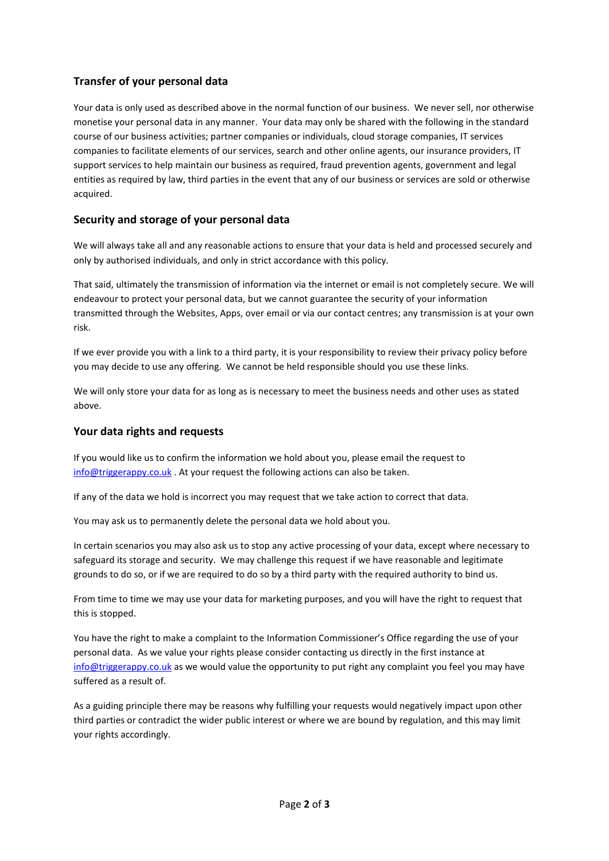## **Transfer of your personal data**

Your data is only used as described above in the normal function of our business. We never sell, nor otherwise monetise your personal data in any manner. Your data may only be shared with the following in the standard course of our business activities; partner companies or individuals, cloud storage companies, IT services companies to facilitate elements of our services, search and other online agents, our insurance providers, IT support services to help maintain our business as required, fraud prevention agents, government and legal entities as required by law, third parties in the event that any of our business or services are sold or otherwise acquired.

## **Security and storage of your personal data**

We will always take all and any reasonable actions to ensure that your data is held and processed securely and only by authorised individuals, and only in strict accordance with this policy.

That said, ultimately the transmission of information via the internet or email is not completely secure. We will endeavour to protect your personal data, but we cannot guarantee the security of your information transmitted through the Websites, Apps, over email or via our contact centres; any transmission is at your own risk.

If we ever provide you with a link to a third party, it is your responsibility to review their privacy policy before you may decide to use any offering. We cannot be held responsible should you use these links.

We will only store your data for as long as is necessary to meet the business needs and other uses as stated above.

### **Your data rights and requests**

If you would like us to confirm the information we hold about you, please email the request to [info@triggerappy.co.uk](mailto:info@triggerappy.co.uk). At your request the following actions can also be taken.

If any of the data we hold is incorrect you may request that we take action to correct that data.

You may ask us to permanently delete the personal data we hold about you.

In certain scenarios you may also ask us to stop any active processing of your data, except where necessary to safeguard its storage and security. We may challenge this request if we have reasonable and legitimate grounds to do so, or if we are required to do so by a third party with the required authority to bind us.

From time to time we may use your data for marketing purposes, and you will have the right to request that this is stopped.

You have the right to make a complaint to the Information Commissioner's Office regarding the use of your personal data. As we value your rights please consider contacting us directly in the first instance at [info@triggerappy.co.uk](mailto:info@triggerappy.co.uk) as we would value the opportunity to put right any complaint you feel you may have suffered as a result of.

As a guiding principle there may be reasons why fulfilling your requests would negatively impact upon other third parties or contradict the wider public interest or where we are bound by regulation, and this may limit your rights accordingly.